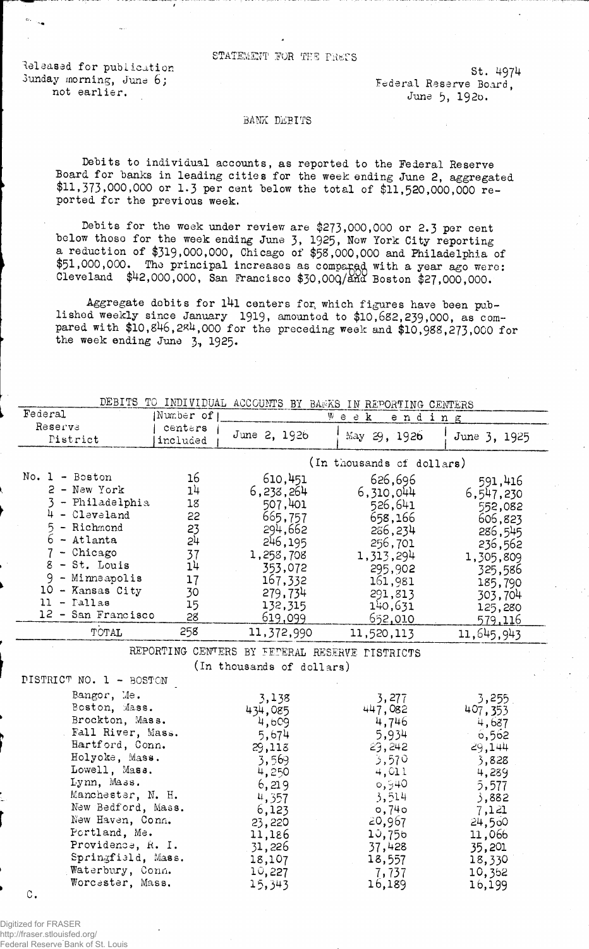STATEMENT FOR THE PRETS

Released for publication 4974 Sunday morning, June 6;  $\frac{1}{2}$  Federal Reserve Board,  $\frac{1}{2}$  and  $\frac{1}{2}$  and  $\frac{1}{2}$  and  $\frac{1}{2}$  and  $\frac{1}{2}$  and  $\frac{1}{2}$  and  $\frac{1}{2}$  and  $\frac{1}{2}$  and  $\frac{1}{2}$  and  $\frac{1}{2}$  and  $\frac{1}{2}$  and  $\frac{1}{2}$ 

/

June 5, 1926.

## BANK DEBITS

Debits to individual accounts, as reported to the Federal Reserve Board for banks in leading cities for the week ending June 2, aggregated \$11,373,000,000 or 1.3 per cent below the total of \$11,520,000,000 reported for the previous week.

Debits for the week under review are \$273,000,000 or 2.3 per cent below thoso for the week ending June 3, 1925, Now York City reporting a reduction of \$319,000,000, Chicago of \$58,000,000 and Philadelphia of \$51,000,000. The principal increases as compared with a year ago were: Cleveland \$42,000,000, San Francisco \$30.00Q/ana Boston \$27,000,000.

Aggregate debits for l4l centers for, which figures have been published weekly since January 1919, amounted to \$10,682,239,000, as compared with  $$10,846,284,000$  for the preceding week and  $$10,988,273,000$  for the week ending June  $3, 1925$ .

|                                  |           |                                                | DEBITS TO INDIVIDUAL ACCOUNTS BY BANKS IN REPORTING CENTERS |                  |
|----------------------------------|-----------|------------------------------------------------|-------------------------------------------------------------|------------------|
| Federal                          | Number of |                                                | $W$ e e $\mathbf{k}$<br>ending                              |                  |
| Reserve                          | centers   | June 2, 1926                                   |                                                             |                  |
| Pistrict                         | included  |                                                | May 29, 1926                                                | June 3, 1925     |
|                                  |           |                                                | (In thousands of dollars)                                   |                  |
| No. $1 -$ Boston                 | 16        | 610,451                                        | 626,696                                                     | 591,416          |
| 2 - New York                     | 14        | 6,233,264                                      | 6,310,044                                                   | 6,547,230        |
| 3 - Philadelphia                 | 18        | 507,401                                        | 526,641                                                     | 552,082          |
| $4 - C1$ eveland                 | 22        | 665,757                                        | 658,166                                                     | 606,823          |
| 5<br>- Richmond                  | 23        | 294,662                                        | 286,234                                                     | 286,545          |
| $6 -$ Atlanta                    | 24        | 246, 195                                       | 256,701                                                     | 236,562          |
| - Chicago                        | 37        | 1,258,708                                      | 1,313,294                                                   | 1,305,809        |
| $8$ - St. Louis                  | 14        | 353,072                                        | 295,902                                                     | 325,586          |
| - Minneapolis<br>9               | 17        | 167,332                                        | 161,981                                                     | 185,790          |
| 10 - Kansas City                 | 30        | 279,734                                        | 291,813                                                     | 303,704          |
| $11  I$ allas                    | 15        | 132,315                                        | 140,631                                                     | 125,280          |
| 12 - San Francisco               | 28        | 619,099                                        | <u>652,010</u>                                              | <u>579,116</u>   |
| TOTAL                            | 258       | 11,372,990                                     | 11,520,113                                                  | 11, 645, 943     |
|                                  |           | REPORTING CENTERS BY FETERAL RESERVE PISTRICTS |                                                             |                  |
|                                  |           | (In thousands of dollars)                      |                                                             |                  |
| DISTRICT NO. 1 - BOSTON          |           |                                                |                                                             |                  |
| Bangor, Me.                      |           | 3,138                                          | 3,277                                                       | 3,255            |
| Boston, Mass.                    |           | 434,085                                        | 447,082                                                     | 407,353          |
| Brockton, Mass.                  |           | 4,609                                          | 4,746                                                       | 4,687            |
| Fall River, Mass.                |           | 5,674                                          | 5,934                                                       | 6,562            |
| Hartford, Conn.                  |           | 29,118                                         | 29,242                                                      | 29,144           |
| Holyoke, Mass.                   |           | 3,569                                          | 3,570                                                       | 3,828            |
| Lowell, Mass.                    |           | 4,250                                          | 4,011                                                       | 4,289            |
| Lynn, Mass.<br>Manchester, N. H. |           | 6,219                                          | 0,940                                                       | 5,577            |
| New Bedford, Mass.               |           | 4,357                                          | 3,514                                                       | 3,882            |
| New Haven, Conn.                 |           | 6,123                                          | 0,740                                                       | 7,121            |
| Portland, Me.                    |           | 23,220                                         | 20,967                                                      | 24,500           |
| Providence, R. I.                |           | 11,186                                         | 10,756                                                      | 11,066           |
| Springfield, Mass.               |           | 31,226<br>18,107                               | 37,428                                                      | 35,201           |
| Waterbury, Conn.                 |           | 10,227                                         | 18,557                                                      | 18,330<br>10,362 |
| Worcester, Mass.                 |           | 15,343                                         | 7,737<br>16,189                                             | 16,199           |
| $\mathtt{C}$ .                   |           |                                                |                                                             |                  |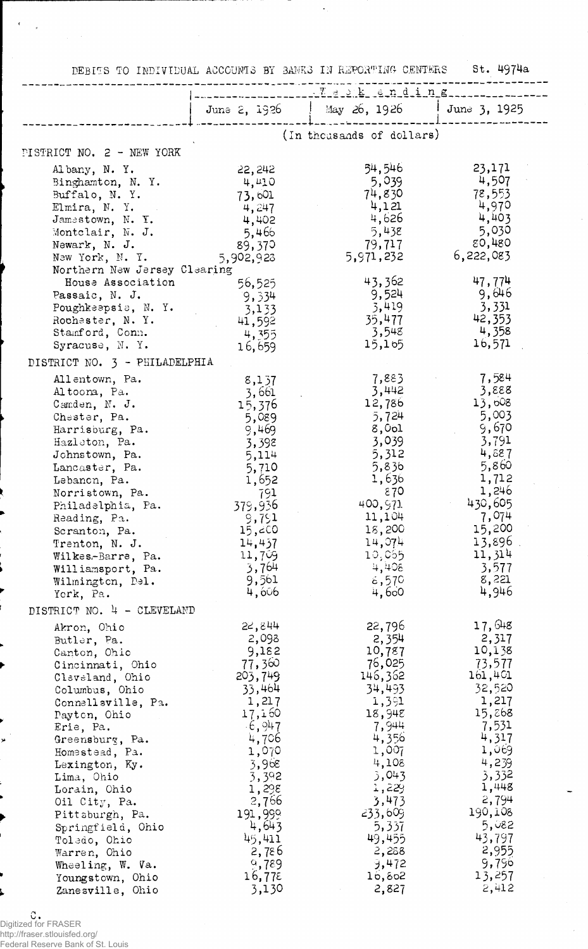DEBITS TO INDIVIDUAL ACCOUNTS BY SANKS IN REPORTING CENTERS St. 4974a

|                                                                                                                                                                                                                                                                                                                                                                                                  | June 2, 1926                                                                                                                                                                                                    | May 26, 1926                                                                                                                                                                                                  | $1 \text{ June } 3, 1925$                                                                                                                                                                                     |
|--------------------------------------------------------------------------------------------------------------------------------------------------------------------------------------------------------------------------------------------------------------------------------------------------------------------------------------------------------------------------------------------------|-----------------------------------------------------------------------------------------------------------------------------------------------------------------------------------------------------------------|---------------------------------------------------------------------------------------------------------------------------------------------------------------------------------------------------------------|---------------------------------------------------------------------------------------------------------------------------------------------------------------------------------------------------------------|
|                                                                                                                                                                                                                                                                                                                                                                                                  |                                                                                                                                                                                                                 | (In thousands of dollars)                                                                                                                                                                                     |                                                                                                                                                                                                               |
| PISTRICT NO. 2 - NEW YORK                                                                                                                                                                                                                                                                                                                                                                        |                                                                                                                                                                                                                 |                                                                                                                                                                                                               |                                                                                                                                                                                                               |
| Albany, N.Y.<br>Binghamton, N. Y.<br>Buffalo, N.Y.<br>Elmira, N. Y.<br>Jamestown, N. Y.<br>Montclair, N. J.<br>Newark, N. J.<br>New York, N. Y.                                                                                                                                                                                                                                                  | 22,242<br>4,410<br>73,601<br>4,247<br>4,402<br>5,466<br>89,370<br>5,902,923                                                                                                                                     | 54,546<br>5,039<br>74,830<br>4,121<br>4,626<br>5,438<br>79,717<br>5,971,232                                                                                                                                   | 23,171<br>4,507<br>78,553<br>4,970<br>4,403<br>5,030<br><b>80,480</b><br>6,222,083                                                                                                                            |
| Northern New Jersey Clearing<br>House Association<br>Passaic, N. J.<br>Poughkeepsie, N.Y.<br>Rochester, N.Y.<br>Stamford, Conn.<br>Syracuse, N.Y.<br>DISTRICT NO. 3 - PHILADELPHIA                                                                                                                                                                                                               | 56,525<br>9,334<br>3,133<br>41,592<br>4,355<br>16,659                                                                                                                                                           | 43,362<br>9,524<br>3,419<br>35,477<br>3,548<br>15,155                                                                                                                                                         | 47,774<br>9,646<br>3,331<br>42,353<br>4,358<br>16,571                                                                                                                                                         |
|                                                                                                                                                                                                                                                                                                                                                                                                  |                                                                                                                                                                                                                 | 7,883                                                                                                                                                                                                         | 7,584                                                                                                                                                                                                         |
| Allentown, Pa.<br>Altoona, Pa.<br>Camden, N. J.<br>Chester, Pa.<br>Harrisburg, Pa.<br>Hazleton, Pa.<br>Johnstown, Pa.<br>Lancaster, Pa.<br>Lebanon, Pa.<br>Norristown, Pa.<br>Philadelphia, Pa.<br>Reading, Pa.<br>Scranton, Pa.<br>Trenton, N. J.<br>Wilkes-Barre, Pa.<br>Williamsport, Pa.<br>Wilmington, Del.<br>York, Pa.                                                                    | 8,137<br>3,661<br>15,376<br>5,089<br>9,469<br>3,398<br>5,114<br>5,710<br>1,652<br>791<br>379,936<br>9,791<br>15,60<br>14,437<br>11,709<br>3,764<br>9,561<br>4,606                                               | 3,442<br>12,786<br>5,724<br>8,0 <sub>ol</sub><br>3,039<br>5,312<br>5,836<br>1,636<br>870<br>400,971<br>11,104<br>18,200<br>14,074<br>10,055<br>4,408<br>6,570<br>4,600                                        | 3,888<br>13,608<br>5,003<br>9,670<br>3,791<br>4,887<br>5,860<br>1,712<br>1,246<br>430,605<br>7,074<br>15,200<br>13,896.<br>11,314<br>3,577<br>8,221<br>4,946                                                  |
| DISTRICT NO. 4 - CLEVELAND                                                                                                                                                                                                                                                                                                                                                                       |                                                                                                                                                                                                                 |                                                                                                                                                                                                               |                                                                                                                                                                                                               |
| Akron, Ohio<br>Butler, Pa.<br>Canton, Ohio<br>Cincinnati, Ohio<br>Claveland, Ohio<br>Columbus, Ohio<br>Connellsville, Pa.<br>Payton, Ohio<br>Erie, Pa.<br>Greensburg, Pa.<br>Homestead, Pa.<br>Lexington, Ky.<br>Lima, Ohio<br>Lorain, Ohio<br>Oil City, Pa.<br>Pittsburgh, Pa.<br>Springfield, Ohio<br>Toledo, Ohio<br>Warren, Ohio<br>Wheeling, W. Va.<br>Youngstown, Ohio<br>Zanesville, Ohio | 22,844<br>2,098<br>9,182<br>77,360<br>203,749<br>33,464<br>1,217<br>17,160<br>$-6,947$<br>4,706<br>1,070<br>3,968<br>3,392<br>1,298<br>2,766<br>191,999<br>4,643<br>45,411<br>2,786<br>9,789<br>16,775<br>3,130 | 22,796<br>2,354<br>10,787<br>76,025<br>146,362<br>34,493<br>1,391<br>18,948<br>7,944<br>4,356<br>1,007<br>4,108<br>3,043<br>1,229<br>3,473<br>233,609<br>5,357<br>49,455<br>2,288<br>9,472<br>16,802<br>2,827 | 17,648<br>2,317<br>10,138<br>73,577<br>161,401<br>32,520<br>1,217<br>15,268<br>7,531<br>4,317<br>1,069<br>4,239<br>3,332<br>1,448<br>2,794<br>190,108<br>5,082<br>43,797<br>2,955<br>9,796<br>13,257<br>2,412 |

*n*U **.** Digitized for FRASER http://fraser.stlouisfed.org/ Federal Reserve Bank of St. Louis

×

 $\epsilon$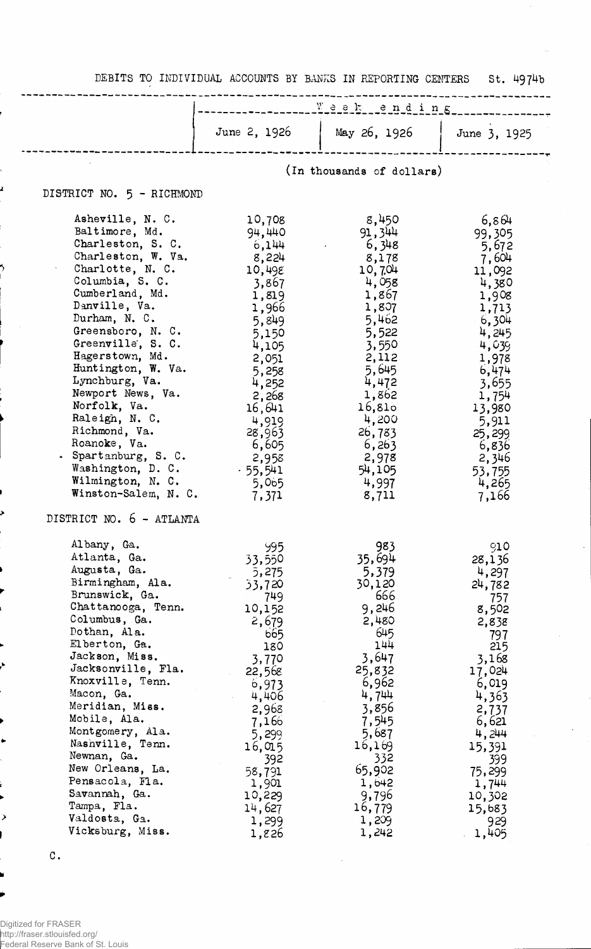DEBITS TO INDIVIDUAL ACCOUNTS BY BANKS IN REPORTING CENTERS St. 4974b

|                                                                                                                                                                                                                                                                                                                                                                                                                                                                       | $\frac{w}{1 - w}$ = $\frac{w}{1 - w}$ = $\frac{1}{2}$ = $\frac{1}{2}$ = $\frac{1}{2}$ = $\frac{1}{2}$ = $\frac{1}{2}$ = $\frac{1}{2}$ = $\frac{1}{2}$ = $\frac{1}{2}$ = $\frac{1}{2}$ = $\frac{1}{2}$ = $\frac{1}{2}$ = $\frac{1}{2}$ = $\frac{1}{2}$ = $\frac{1}{2}$ = $\frac{1}{2}$ = $\frac{1}{2}$ = |                                                                                                                                                                                                                   |                                                                                                                                                                                                                  |
|-----------------------------------------------------------------------------------------------------------------------------------------------------------------------------------------------------------------------------------------------------------------------------------------------------------------------------------------------------------------------------------------------------------------------------------------------------------------------|---------------------------------------------------------------------------------------------------------------------------------------------------------------------------------------------------------------------------------------------------------------------------------------------------------|-------------------------------------------------------------------------------------------------------------------------------------------------------------------------------------------------------------------|------------------------------------------------------------------------------------------------------------------------------------------------------------------------------------------------------------------|
|                                                                                                                                                                                                                                                                                                                                                                                                                                                                       | June 2, 1926                                                                                                                                                                                                                                                                                            | $\frac{1}{26}$ , 1926                                                                                                                                                                                             | June 3, 1925                                                                                                                                                                                                     |
|                                                                                                                                                                                                                                                                                                                                                                                                                                                                       |                                                                                                                                                                                                                                                                                                         | (In thousands of dollars)                                                                                                                                                                                         |                                                                                                                                                                                                                  |
| DISTRICT NO. 5 - RICHMOND                                                                                                                                                                                                                                                                                                                                                                                                                                             |                                                                                                                                                                                                                                                                                                         |                                                                                                                                                                                                                   |                                                                                                                                                                                                                  |
| Asheville, N. C.<br>Baltimore, Md.<br>Charleston, S. C.<br>Charleston, W. Va.<br>Charlotte, N. C.<br>Columbia, S. C.<br>Cumberland, Md.<br>Danville, Va.<br>Durham, N. C.<br>Greensboro, N. C.<br>Greenville, S. C.<br>Hagerstown, Md.<br>Huntington, W. Va.<br>Lynchburg, Va.<br>Newport News, Va.<br>Norfolk, Va.<br>Raleigh, N. C.<br>Richmond, Va.<br>Roanoke, Va.<br>. Spartanburg, S. C.<br>Washington, D. C.<br>Wilmington, N. C.<br>Winston-Salem, N. C.      | 10,708<br>94,440<br>6,144<br>8,224<br>10,498<br>3,867<br>1,819<br>1,966<br>5,849<br>5,150<br>4,105<br>2,051<br>5,258<br>4,252<br>2,268<br>16,641<br>4,919<br>28,963<br>6,605<br>2,958<br>$-55,541$<br>5,065<br>7,371                                                                                    | 8,450<br>91,344<br>6,348<br>8,178<br>10,704<br>4,058<br>1,867<br>1,807<br>5,462<br>5,522<br>3,550<br>2,112<br>5,645<br>4,472<br>1,862<br>16,810<br>4,200<br>26,783<br>6, 263<br>2,978<br>54,105<br>4,997<br>8,711 | 6,864<br>99,305<br>5,672<br>7,604<br>11,092<br>4,380<br>1,908<br>1,713<br>6,304<br>4,245<br>4,039<br>1,978<br>6,474<br>3,655<br>1,754<br>13,980<br>5,911<br>25,299<br>6,836<br>2,346<br>53,755<br>4,265<br>7,166 |
| DISTRICT NO. 6 - ATLANTA<br>Albany, Ga.<br>Atlanta, Ga.<br>Augusta, Ga.<br>Birmingham, Ala.<br>Brunswick, Ga.<br>Chattanooga, Tenn.<br>Columbus, Ga.<br>Dothan, Ala.<br>Elberton, Ga.<br>Jackson, Miss.<br>Jacksonville, Fla.<br>Knoxville, Tenn.<br>Macon, Ga.<br>Meridian, Miss.<br>Mobile, Ala.<br>Montgomery, Ala.<br>Nashville, Tenn.<br>Newnan, Ga.<br>New Orleans, La.<br>Pensacola, Fla.<br>Savannah, Ga.<br>Tampa, Fla.<br>Valdosta, Ga.<br>Vicksburg, Miss. | 995<br>33,550<br>5,275<br>33,720<br>749<br>10,152<br>2,679<br>665<br>180<br>3,770<br>22,568<br>6,973<br>4,406<br>2,968<br>7,166<br>5,299<br>16, Q15<br>392<br>58,791<br>1,901<br>10,229<br>14,627<br>1,299<br>1,826                                                                                     | 983<br>35,694<br>5,379<br>30,120<br>666<br>9,246<br>2,480<br>645<br>144<br>3,647<br>25,832<br>6,962<br>4,744<br>3,856<br>7,545<br>5,687<br>16,169<br>332<br>65,902<br>1,642<br>9,796<br>16,779<br>1,209<br>1,242  | 910<br>28,136<br>4,297<br>24,782<br>757<br>8,502<br>2,838<br>797<br>215<br>3,168<br>17,024<br>6,019<br>4,363<br>2,737<br>6,621<br>4,244<br>15,391<br>399<br>75,299<br>1,744<br>10,302<br>15,683<br>929<br>1,405  |

 $\ddot{\phantom{0}}$ 

 $\mathtt{C}$  .

 $\bullet$ 

⋗

ó

<sup>1</sup> 2

5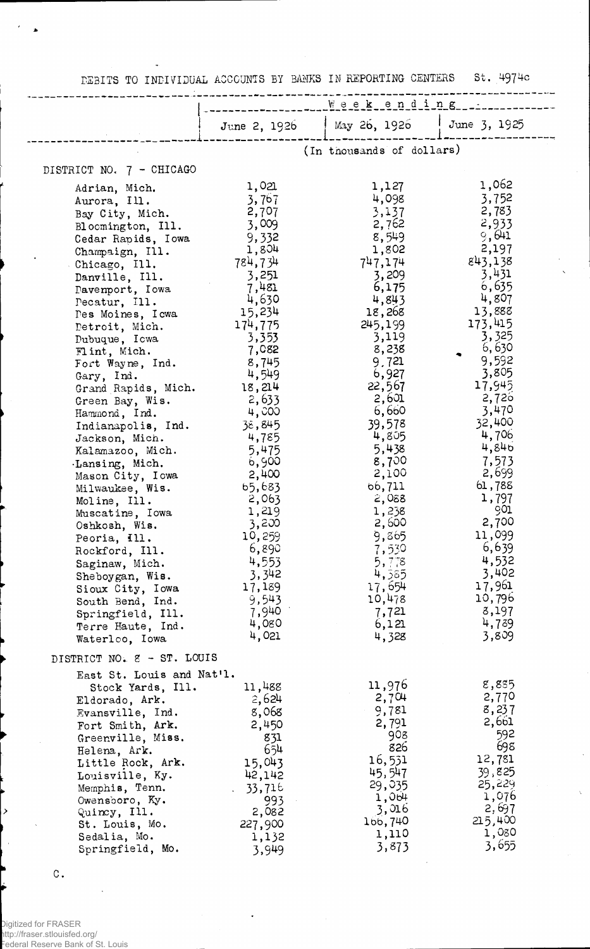DEBITS TO INDIVIDUAL ACCOUNTS BY BANKS IN REPORTING CENTERS St. 4974c

|                                    | Weekending       |                             |                  |
|------------------------------------|------------------|-----------------------------|------------------|
|                                    |                  | May 26, 1926   June 3, 1925 |                  |
|                                    | June 2, $1926$   |                             |                  |
|                                    |                  | (In thousands of dollars)   |                  |
| DISTRICT NO. 7 - CHICAGO           |                  |                             |                  |
| Adrian, Mich.<br>Aurora, Ill.      | 1,021<br>3,767   | 1,127<br>4,098              | 1,062<br>3,752   |
| Bay City, Mich.                    | 2,707            | 3,137                       | 2,783            |
| Bloomington, Ill.                  | 3,009            | 2,762                       | 2,933            |
| Cedar Rapids, Iowa                 | 9,332            | 8,549                       | 9,641            |
| Champaign, Ill.                    | 1,804            | 1,802                       | 2,197            |
| Chicago, Ill.                      | 784,734          | 747,174                     | 843,138          |
| Danville, Ill.                     | 3,251            | 3,209                       | 3,431            |
| Davenport, Iowa                    | 7,481            | 6,175                       | 6,635            |
| Pecatur, Ill.                      | 4,630            | 4,843                       | 4,807<br>13,888  |
| Des Moines, I cwa                  | 15,234           | 18,268<br>245,199           | 173,415          |
| Detroit, Mich.                     | 174,775<br>3,353 | 3,119                       | 3,325            |
| Dubuque, Icwa<br>Flint, Mich.      | 7,082            | 8,238                       | 6,630            |
| Fort Wayne, Ind.                   | 8,745            | 9,721                       | 9,592            |
| Gary, Ind.                         | 4,549            | 6,927                       | 3,805            |
| Grand Rapids, Mich.                | 18,214           | 22,567                      | 17,945           |
| Green Bay, Wis.                    | 2,633            | 2,601                       | 2,720            |
| Hammond, Ind.                      | 4,000            | 6,660                       | 3,470            |
| Indianapolis, Ind.                 | 38,845           | 39,578                      | 32,400           |
| Jackson, Mich.                     | 4,785            | 4,805                       | 4,706            |
| Kalamazoo, Mich.                   | 5,475            | 5,438                       | 4,846            |
| .Lansing, Mich.                    | 6,900            | 8,700                       | 7,573<br>2,699   |
| Mason City, Iowa                   | 2,400            | 2,100<br>66,711             | 61,788           |
| Milwaukee, Wis.                    | 65,683<br>2,063  | 2,088                       | 1,797            |
| Moline, Ill.<br>Muscatine, Iowa    | 1,219            | 1,238                       | 901              |
| Oshkosh, Wis.                      | 3,200            | 2,600                       | 2,700            |
| Peoria, Ill.                       | 10,259           | 9,865                       | 11,099           |
| Rockford, Ill.                     | 6,890            | 7,530                       | 6,639            |
| Saginaw, Mich.                     | 4,553            | 5,778                       | 4,532            |
| Sheboygan, Wis.                    | 3,342            | 4,385                       | 3,402            |
| Sioux City, Iowa                   | 17,189           | 17,654                      | 17,961           |
| South Bend, Ind.                   | 9,543            | 10,478                      | 10,796           |
| Springfield, Ill.                  | 7,940<br>4,080   | 7,721                       | 8,197<br>4,739   |
| Terre Haute, Ind.                  | 4,021            | 6,121<br>4,328              | 3,809            |
| Waterloo, Iowa                     |                  |                             |                  |
| DISTRICT NO. 2 - ST. LOUIS         |                  |                             |                  |
| East St. Louis and Nat'l.          |                  |                             | 8,885            |
| Stock Yards, Ill.                  | 11,488           | 11,976<br>2,704             | 2,770            |
| Eldorado, Ark.<br>Evansville, Ind. | 2,624<br>8,068   | 9,781                       | 8,237            |
| Fort Smith, Ark.                   | 2,450            | 2,791                       | 2,661            |
| Greenville, Miss.                  | 831              | 908                         | 592              |
| Helena, Ark.                       | 654              | 826                         | 698              |
| Little Rock, Ark.                  | 15,043           | 16,531                      | 12,781           |
| Louisville, Ky.                    | 42,142           | 45,547                      | 39,825           |
| Memphis, Tenn.                     | 33,716           | 29,035                      | 25,229           |
| Owensboro, Ky.                     | 993              | 1,004                       | 1,076            |
| Quincy, Ill.                       | 2,082            | 3,016                       | 2,697            |
| St. Louis, Mo.                     | 227,900          | 166,740<br>1,110            | 215,400<br>1,080 |
| Sedalia, Mo.                       | 1,132            | 3,873                       | 3,655            |
| Springfield, Mo.                   | 3,949            |                             |                  |

 $\bar{z}$ 

 $\hat{\boldsymbol{\lambda}}$ 

c.

 $\rightarrow$ 

 $\bullet$ 

 $\sim$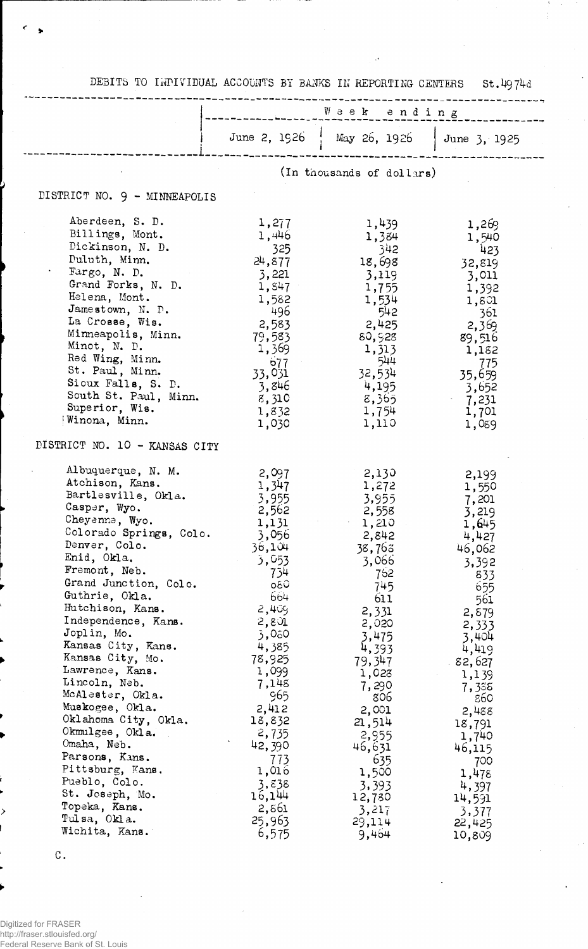|                                                                                                                                                                                                                                                                                                                                                                                                                                                                                                                       | Week ending                                                                                                                                                                                                                             |                                                                                                                                                                                                                                  |                                                                                                                                                                                                                                    |
|-----------------------------------------------------------------------------------------------------------------------------------------------------------------------------------------------------------------------------------------------------------------------------------------------------------------------------------------------------------------------------------------------------------------------------------------------------------------------------------------------------------------------|-----------------------------------------------------------------------------------------------------------------------------------------------------------------------------------------------------------------------------------------|----------------------------------------------------------------------------------------------------------------------------------------------------------------------------------------------------------------------------------|------------------------------------------------------------------------------------------------------------------------------------------------------------------------------------------------------------------------------------|
|                                                                                                                                                                                                                                                                                                                                                                                                                                                                                                                       | June 2, 1926                                                                                                                                                                                                                            | $\frac{1}{1}$ May 26, 1926                                                                                                                                                                                                       | June 3, 1925                                                                                                                                                                                                                       |
|                                                                                                                                                                                                                                                                                                                                                                                                                                                                                                                       |                                                                                                                                                                                                                                         | (In thousands of dollars)                                                                                                                                                                                                        |                                                                                                                                                                                                                                    |
| DISTRICT NO. 9 - MINNEAPOLIS                                                                                                                                                                                                                                                                                                                                                                                                                                                                                          |                                                                                                                                                                                                                                         |                                                                                                                                                                                                                                  |                                                                                                                                                                                                                                    |
| Aberdeen, S. D.<br>Billings, Mont.<br>Dickinson, N. D.<br>Duluth, Minn.<br>Fargo, N. D.<br>Grand Forks, N. D.<br>Helena, Mont.<br>Jamestown, N. P.<br>La Crosse, Wis.<br>Minneapolis, Minn.<br>Minot, N. D.<br>Red Wing, Minn.<br>St. Paul, Minn.<br>Sioux Falls, S. D.<br>South St. Paul, Minn.<br>Superior, Wis.<br>Winona, Minn.                                                                                                                                                                                   | 1,277<br>1,446<br>325<br>24,877<br>3,221<br>1,847<br>1,582<br>- 496<br>2,583<br>79,583<br>1,369<br>677<br>33,031<br>3,846<br>8,310<br>1,832<br>1,030                                                                                    | 1,439<br>1,384<br>-342<br>18,698<br>3,119<br>1,755<br>1,534<br>542<br>2,425<br>80,928<br>1,313<br>544<br>32,534<br>4,195<br>8,365<br>1,754<br>1,110                                                                              | 1,269<br>1,540<br>423<br>32,819<br>3,011<br>1,392<br>1,801<br>-361<br>2,369<br>89,516<br>1,182<br>775<br>35,659<br>3,652<br>7,231<br>1,701<br>1,089                                                                                |
| DISTRICT NO. 10 - KANSAS CITY                                                                                                                                                                                                                                                                                                                                                                                                                                                                                         |                                                                                                                                                                                                                                         |                                                                                                                                                                                                                                  |                                                                                                                                                                                                                                    |
| Albuquerque, N. M.<br>Atchison, Kans.<br>Bartlesville, Okla.<br>Casper, Wyo.<br>Cheyenne, Wyo.<br>Colorado Springs, Colo.<br>Denver, Colo.<br>Enid, Okla.<br>Fremont, Neb.<br>Grand Junction, Colo.<br>Guthrie, Okla.<br>Hutchison, Kans.<br>Independence, Kans.<br>Joplin, Mo.<br>Kansas City, Kans.<br>Kansas City, Mo.<br>Lawrence, Kans.<br>Lincoln, Neb.<br>McAlester, Okla.<br>Muskogee, Okla.<br>Oklahoma City, Okla.<br>Okmulgee, Okla.<br>Omaha, Neb.<br>Parsons, Kans.<br>Pittsburg, Kans.<br>Pueblo, Colo. | 2,097<br>1,347<br>3,955<br>2,562<br>1,131<br>3,056<br>36,104<br>3,053<br>734<br><b>G30</b><br>664<br>2,405<br>2,801<br>3,080<br>4,385<br>78,925<br>1,099<br>7,148<br>965<br>2,412<br>18,832<br>2,735<br>42,390<br>773<br>1,016<br>3,838 | 2,130<br>1,272<br>3,955<br>2,558<br>1,210<br>2,842<br>38,763<br>3,066<br>762<br>745<br>611<br>2,331<br>2,020<br>3,475<br>4,393<br>79,347<br>1,023<br>7,290<br>806<br>2,001<br>21,514<br>2,955<br>46,631<br>635<br>1,500<br>3,393 | 2,199<br>1,550<br>7,201<br>3,219<br>1,645<br>4,427<br>46,062<br>3,392<br>833<br>655<br>561<br>2,879<br>2,333<br>3,404<br>4,419<br>82,627 .<br>1,139<br>7,338<br>860<br>2,488<br>18,791<br>1,740<br>46,115<br>700<br>1,478<br>4,397 |
| St. Joseph, Mo.<br>Topeka, Kans.<br>Tulsa, Okla.<br>Wichita, Kans.                                                                                                                                                                                                                                                                                                                                                                                                                                                    | 16,144<br>2,861<br>25,963<br>6,575                                                                                                                                                                                                      | 12,780<br>3,217<br>29,114<br>9,464                                                                                                                                                                                               | 14,591<br>3,377<br>22,425<br>10,809                                                                                                                                                                                                |

DEBITS TO INPIVIDUAL ACCOUNTS BY BANKS IN REPORTING CENTERS St.4974d

C.